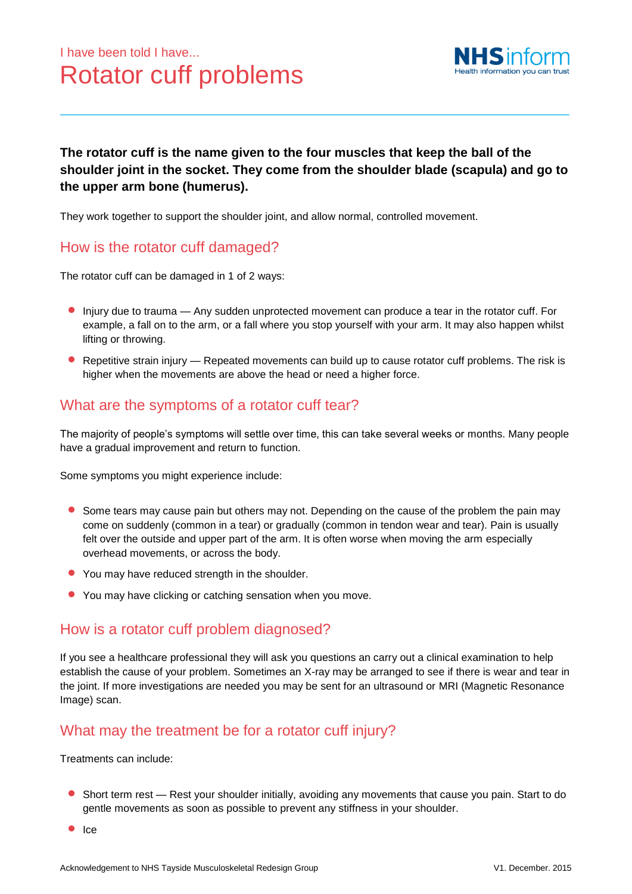

### **The rotator cuff is the name given to the four muscles that keep the ball of the shoulder joint in the socket. They come from the shoulder blade (scapula) and go to the upper arm bone (humerus).**

They work together to support the shoulder joint, and allow normal, controlled movement.

# How is the rotator cuff damaged?

The rotator cuff can be damaged in 1 of 2 ways:

- Injury due to trauma Any sudden unprotected movement can produce a tear in the rotator cuff. For example, a fall on to the arm, or a fall where you stop yourself with your arm. It may also happen whilst lifting or throwing.
- **•** Repetitive strain injury Repeated movements can build up to cause rotator cuff problems. The risk is higher when the movements are above the head or need a higher force.

# What are the symptoms of a rotator cuff tear?

The majority of people's symptoms will settle over time, this can take several weeks or months. Many people have a gradual improvement and return to function.

Some symptoms you might experience include:

- **Some tears may cause pain but others may not. Depending on the cause of the problem the pain may** come on suddenly (common in a tear) or gradually (common in tendon wear and tear). Pain is usually felt over the outside and upper part of the arm. It is often worse when moving the arm especially overhead movements, or across the body.
- You may have reduced strength in the shoulder.
- You may have clicking or catching sensation when you move.

#### How is a rotator cuff problem diagnosed?

If you see a healthcare professional they will ask you questions an carry out a clinical examination to help establish the cause of your problem. Sometimes an X-ray may be arranged to see if there is wear and tear in the joint. If more investigations are needed you may be sent for an ultrasound or MRI (Magnetic Resonance Image) scan.

### What may the treatment be for a rotator cuff injury?

Treatments can include:

- Short term rest Rest your shoulder initially, avoiding any movements that cause you pain. Start to do gentle movements as soon as possible to prevent any stiffness in your shoulder.
- $\bullet$  Ice